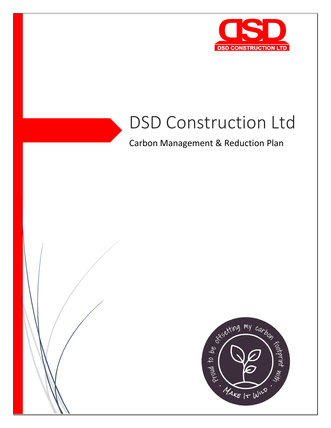

# DSD Construction Ltd

Carbon Management & Reduction Plan

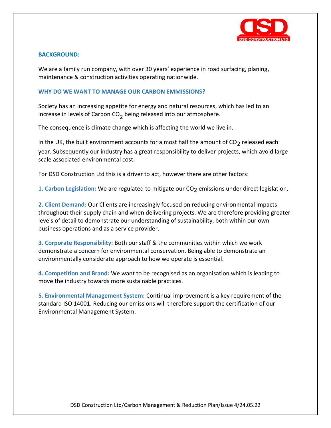

## **BACKGROUND:**

We are a family run company, with over 30 years' experience in road surfacing, planing, maintenance & construction activities operating nationwide.

#### **WHY DO WE WANT TO MANAGE OUR CARBON EMMISSIONS?**

Society has an increasing appetite for energy and natural resources, which has led to an increase in levels of Carbon  $CO<sub>2</sub>$  being released into our atmosphere.

The consequence is climate change which is affecting the world we live in.

In the UK, the built environment accounts for almost half the amount of  $CO<sub>2</sub>$  released each year. Subsequently our industry has a great responsibility to deliver projects, which avoid large scale associated environmental cost.

For DSD Construction Ltd this is a driver to act, however there are other factors:

1. Carbon Legislation: We are regulated to mitigate our CO<sub>2</sub> emissions under direct legislation.

**2. Client Demand:** Our Clients are increasingly focused on reducing environmental impacts throughout their supply chain and when delivering projects. We are therefore providing greater levels of detail to demonstrate our understanding of sustainability, both within our own business operations and as a service provider.

**3. Corporate Responsibility:** Both our staff & the communities within which we work demonstrate a concern for environmental conservation. Being able to demonstrate an environmentally considerate approach to how we operate is essential.

**4. Competition and Brand:** We want to be recognised as an organisation which is leading to move the industry towards more sustainable practices.

**5. Environmental Management System:** Continual improvement is a key requirement of the standard ISO 14001. Reducing our emissions will therefore support the certification of our Environmental Management System.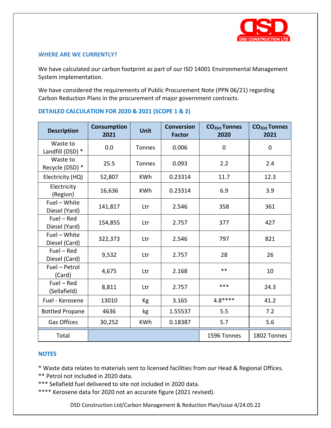

## **WHERE ARE WE CURRENTLY?**

We have calculated our carbon footprint as part of our ISO 14001 Environmental Management System implementation.

We have considered the requirements of Public Procurement Note (PPN 06/21) regarding Carbon Reduction Plans in the procurement of major government contracts.

| <b>Description</b>            | <b>Consumption</b><br>2021 | Unit          | <b>Conversion</b><br><b>Factor</b> | $CO2(e)$ Tonnes<br>2020 | $CO2(e)$ Tonnes<br>2021 |
|-------------------------------|----------------------------|---------------|------------------------------------|-------------------------|-------------------------|
| Waste to<br>Landfill (DSD) *  | 0.0                        | Tonnes        | 0.006                              | $\Omega$                | $\mathbf 0$             |
| Waste to<br>Recycle (DSD) *   | 25.5                       | <b>Tonnes</b> | 0.093                              | 2.2                     | 2.4                     |
| Electricity (HQ)              | 52,807                     | <b>KWh</b>    | 0.23314                            | 11.7                    | 12.3                    |
| Electricity<br>(Region)       | 16,636                     | <b>KWh</b>    | 0.23314                            | 6.9                     | 3.9                     |
| Fuel - White<br>Diesel (Yard) | 141,817                    | Ltr           | 2.546                              | 358                     | 361                     |
| $Fuel - Red$<br>Diesel (Yard) | 154,855                    | Ltr           | 2.757                              | 377                     | 427                     |
| Fuel - White<br>Diesel (Card) | 322,373                    | Ltr           | 2.546                              | 797                     | 821                     |
| $Fuel - Red$<br>Diesel (Card) | 9,532                      | Ltr           | 2.757                              | 28                      | 26                      |
| Fuel - Petrol<br>(Card)       | 4,675                      | Ltr           | 2.168                              | $***$                   | 10                      |
| $Fuel - Red$<br>(Sellafield)  | 8,811                      | Ltr           | 2.757                              | ***                     | 24.3                    |
| Fuel - Kerosene               | 13010                      | Kg            | 3.165                              | $4.8***$                | 41.2                    |
| <b>Bottled Propane</b>        | 4636                       | kg            | 1.55537                            | 5.5                     | 7.2                     |
| <b>Gas Offices</b>            | 30,252                     | <b>KWh</b>    | 0.18387                            | 5.7                     | 5.6                     |
| Total                         |                            |               |                                    | 1596 Tonnes             | 1802 Tonnes             |

# **DETAILED CALCULATION FOR 2020 & 2021 (SCOPE 1 & 2)**

#### **NOTES**

\* Waste data relates to materials sent to licensed facilities from our Head & Regional Offices.

- \*\* Petrol not included in 2020 data.
- \*\*\* Sellafield fuel delivered to site not included in 2020 data.
- \*\*\*\* Kerosene data for 2020 not an accurate figure (2021 revised).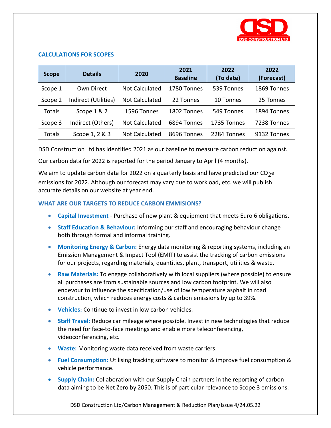

## **CALCULATIONS FOR SCOPES**

| <b>Scope</b> | <b>Details</b>       | 2020                  | 2021<br><b>Baseline</b> | 2022<br>(To date) | 2022<br>(Forecast) |
|--------------|----------------------|-----------------------|-------------------------|-------------------|--------------------|
| Scope 1      | Own Direct           | <b>Not Calculated</b> | 1780 Tonnes             | 539 Tonnes        | 1869 Tonnes        |
| Scope 2      | Indirect (Utilities) | <b>Not Calculated</b> | 22 Tonnes               | 10 Tonnes         | 25 Tonnes          |
| Totals       | Scope 1 & 2          | 1596 Tonnes           | 1802 Tonnes             | 549 Tonnes        | 1894 Tonnes        |
| Scope 3      | Indirect (Others)    | <b>Not Calculated</b> | 6894 Tonnes             | 1735 Tonnes       | 7238 Tonnes        |
| Totals       | Scope 1, 2 & 3       | <b>Not Calculated</b> | 8696 Tonnes             | 2284 Tonnes       | 9132 Tonnes        |

DSD Construction Ltd has identified 2021 as our baseline to measure carbon reduction against.

Our carbon data for 2022 is reported for the period January to April (4 months).

We aim to update carbon data for 2022 on a quarterly basis and have predicted our  $CO<sub>2</sub>e$ emissions for 2022. Although our forecast may vary due to workload, etc. we will publish accurate details on our website at year end.

# **WHAT ARE OUR TARGETS TO REDUCE CARBON EMMISIONS?**

- **Capital Investment** Purchase of new plant & equipment that meets Euro 6 obligations.
- **Staff Education & Behaviour:** Informing our staff and encouraging behaviour change both through formal and informal training.
- **Monitoring Energy & Carbon:** Energy data monitoring & reporting systems, including an Emission Management & Impact Tool (EMIT) to assist the tracking of carbon emissions for our projects, regarding materials, quantities, plant, transport, utilities & waste.
- **Raw Materials:** To engage collaboratively with local suppliers (where possible) to ensure all purchases are from sustainable sources and low carbon footprint. We will also endevour to influence the specification/use of low temperature asphalt in road construction, which reduces energy costs & carbon emissions by up to 39%.
- **Vehicles:** Continue to invest in low carbon vehicles.
- **Staff Travel:** Reduce car mileage where possible. Invest in new technologies that reduce the need for face-to-face meetings and enable more teleconferencing, videoconferencing, etc.
- **Waste:** Monitoring waste data received from waste carriers.
- **Fuel Consumption:** Utilising tracking software to monitor & improve fuel consumption & vehicle performance.
- **Supply Chain:** Collaboration with our Supply Chain partners in the reporting of carbon data aiming to be Net Zero by 2050. This is of particular relevance to Scope 3 emissions.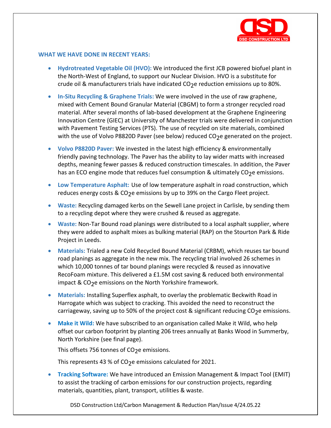

#### **WHAT WE HAVE DONE IN RECENT YEARS:**

- **Hydrotreated Vegetable Oil (HVO):** We introduced the first JCB powered biofuel plant in the North-West of England, to support our Nuclear Division. HVO is a substitute for crude oil & manufacturers trials have indicated  $CO<sub>2</sub>e$  reduction emissions up to 80%.
- **In-Situ Recycling & Graphene Trials:** We were involved in the use of raw graphene, mixed with Cement Bound Granular Material (CBGM) to form a stronger recycled road material. After several months of lab-based development at the Graphene Engineering Innovation Centre (GIEC) at University of Manchester trials were delivered in conjunction with Pavement Testing Services (PTS). The use of recycled on site materials, combined with the use of Volvo P8820D Paver (see below) reduced CO<sub>2</sub>e generated on the project.
- **Volvo P8820D Paver:** We invested in the latest high efficiency & environmentally friendly paving technology. The Paver has the ability to lay wider matts with increased depths, meaning fewer passes & reduced construction timescales. In addition, the Paver has an ECO engine mode that reduces fuel consumption & ultimately CO<sub>2</sub>e emissions.
- **Low Temperature Asphalt:** Use of low temperature asphalt in road construction, which reduces energy costs & CO<sub>2</sub>e emissions by up to 39% on the Cargo Fleet project.
- **Waste:** Recycling damaged kerbs on the Sewell Lane project in Carlisle, by sending them to a recycling depot where they were crushed & reused as aggregate.
- **Waste:** Non-Tar Bound road planings were distributed to a local asphalt supplier, where they were added to asphalt mixes as bulking material (RAP) on the Stourton Park & Ride Project in Leeds.
- **Materials:** Trialed a new Cold Recycled Bound Material (CRBM), which reuses tar bound road planings as aggregate in the new mix. The recycling trial involved 26 schemes in which 10,000 tonnes of tar bound planings were recycled & reused as innovative RecoFoam mixture. This delivered a £1.5M cost saving & reduced both environmental impact & CO<sub>2</sub>e emissions on the North Yorkshire framework.
- **Materials:** Installing Superflex asphalt, to overlay the problematic Beckwith Road in Harrogate which was subject to cracking. This avoided the need to reconstruct the carriageway, saving up to 50% of the project cost & significant reducing  $CO<sub>2</sub>e$  emissions.
- **Make it Wild:** We have subscribed to an organisation called Make it Wild, who help offset our carbon footprint by planting 206 trees annually at Banks Wood in Summerby, North Yorkshire (see final page).

This offsets 756 tonnes of  $CO<sub>2</sub>e$  emissions.

This represents 43 % of  $CO<sub>2</sub>e$  emissions calculated for 2021.

• **Tracking Software:** We have introduced an Emission Management & Impact Tool (EMIT) to assist the tracking of carbon emissions for our construction projects, regarding materials, quantities, plant, transport, utilities & waste.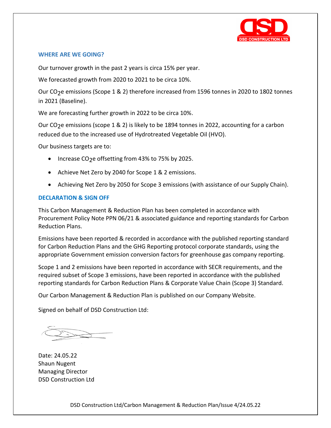

## **WHERE ARE WE GOING?**

Our turnover growth in the past 2 years is circa 15% per year.

We forecasted growth from 2020 to 2021 to be circa 10%.

Our CO<sub>2</sub>e emissions (Scope 1 & 2) therefore increased from 1596 tonnes in 2020 to 1802 tonnes in 2021 (Baseline).

We are forecasting further growth in 2022 to be circa 10%.

Our CO<sub>2</sub>e emissions (scope 1 & 2) is likely to be 1894 tonnes in 2022, accounting for a carbon reduced due to the increased use of Hydrotreated Vegetable Oil (HVO).

Our business targets are to:

- Increase CO<sub>2</sub>e offsetting from 43% to 75% by 2025.
- Achieve Net Zero by 2040 for Scope 1 & 2 emissions.
- Achieving Net Zero by 2050 for Scope 3 emissions (with assistance of our Supply Chain).

# **DECLARATION & SIGN OFF**

This Carbon Management & Reduction Plan has been completed in accordance with Procurement Policy Note PPN 06/21 & associated guidance and reporting standards for Carbon Reduction Plans.

Emissions have been reported & recorded in accordance with the published reporting standard for Carbon Reduction Plans and the GHG Reporting protocol corporate standards, using the appropriate Government emission conversion factors for greenhouse gas company reporting.

Scope 1 and 2 emissions have been reported in accordance with SECR requirements, and the required subset of Scope 3 emissions, have been reported in accordance with the published reporting standards for Carbon Reduction Plans & Corporate Value Chain (Scope 3) Standard.

Our Carbon Management & Reduction Plan is published on our Company Website.

Signed on behalf of DSD Construction Ltd:

Date: 24.05.22 Shaun Nugent Managing Director DSD Construction Ltd